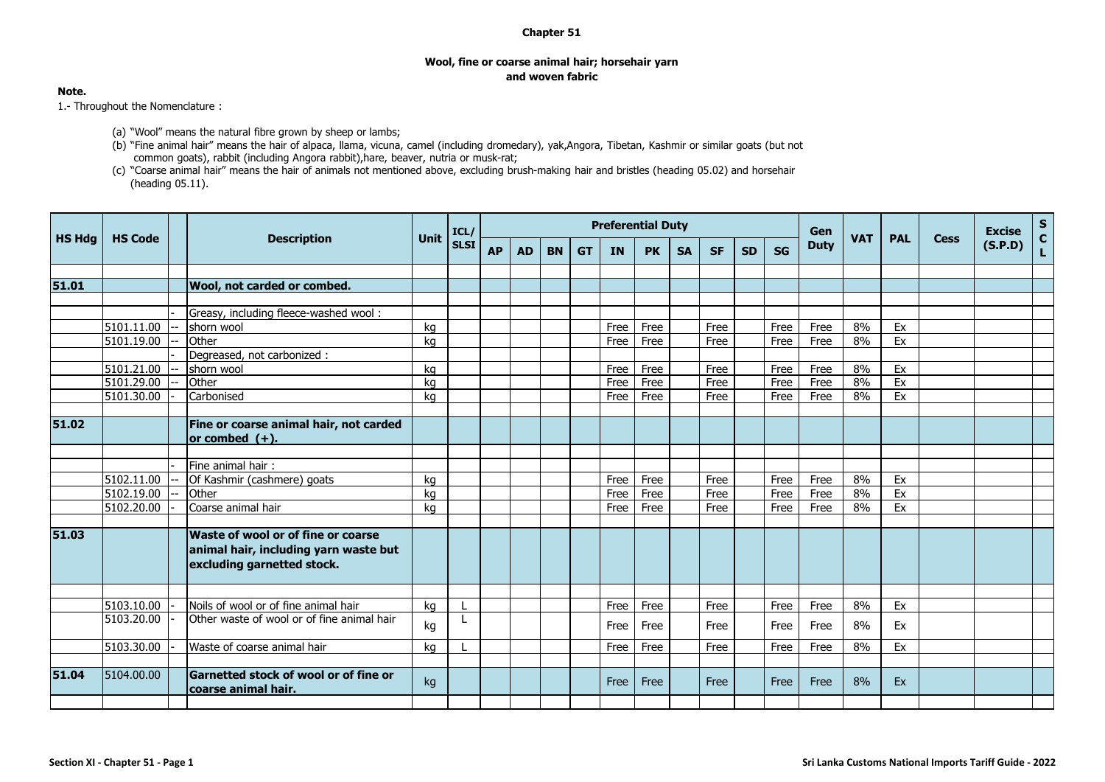## **Chapter 51**

## **Wool, fine or coarse animal hair; horsehair yarn and woven fabric**

## **Note.**

1.- Throughout the Nomenclature :

- (a) "Wool" means the natural fibre grown by sheep or lambs;
- (b) "Fine animal hair" means the hair of alpaca, llama, vicuna, camel (including dromedary), yak,Angora, Tibetan, Kashmir or similar goats (but not common goats), rabbit (including Angora rabbit),hare, beaver, nutria or musk-rat;
- (c) "Coarse animal hair" means the hair of animals not mentioned above, excluding brush-making hair and bristles (heading 05.02) and horsehair (heading 05.11).

|               |                |                                                                                                           |             | ICL/        | <b>Preferential Duty</b> |           |           |           |           |           |           |           |           |           |             | Gen        |            |             | <b>Excise</b> | $S_{C}$ |
|---------------|----------------|-----------------------------------------------------------------------------------------------------------|-------------|-------------|--------------------------|-----------|-----------|-----------|-----------|-----------|-----------|-----------|-----------|-----------|-------------|------------|------------|-------------|---------------|---------|
| <b>HS Hdg</b> | <b>HS Code</b> | <b>Description</b>                                                                                        | <b>Unit</b> | <b>SLSI</b> | <b>AP</b>                | <b>AD</b> | <b>BN</b> | <b>GT</b> | <b>IN</b> | <b>PK</b> | <b>SA</b> | <b>SF</b> | <b>SD</b> | <b>SG</b> | <b>Duty</b> | <b>VAT</b> | <b>PAL</b> | <b>Cess</b> | (S.P.D)       | L.      |
|               |                |                                                                                                           |             |             |                          |           |           |           |           |           |           |           |           |           |             |            |            |             |               |         |
| 51.01         |                | <b>Wool, not carded or combed.</b>                                                                        |             |             |                          |           |           |           |           |           |           |           |           |           |             |            |            |             |               |         |
|               |                |                                                                                                           |             |             |                          |           |           |           |           |           |           |           |           |           |             |            |            |             |               |         |
|               |                | Greasy, including fleece-washed wool:                                                                     |             |             |                          |           |           |           |           |           |           |           |           |           |             |            |            |             |               |         |
|               | 5101.11.00     | shorn wool                                                                                                | kg          |             |                          |           |           |           | Free      | Free      |           | Free      |           | Free      | Free        | 8%         | Ex         |             |               |         |
|               | 5101.19.00     | Other                                                                                                     | kg          |             |                          |           |           |           | Free      | Free      |           | Free      |           | Free      | Free        | 8%         | Ex         |             |               |         |
|               |                | Degreased, not carbonized :                                                                               |             |             |                          |           |           |           |           |           |           |           |           |           |             |            |            |             |               |         |
|               | 5101.21.00     | shorn wool                                                                                                | ka          |             |                          |           |           |           | Free      | Free      |           | Free      |           | Free      | Free        | 8%         | Ex         |             |               |         |
|               | 5101.29.00     | <b>Other</b>                                                                                              | kg          |             |                          |           |           |           | Free      | Free      |           | Free      |           | Free      | Free        | 8%         | Ex         |             |               |         |
|               | 5101.30.00     | Carbonised                                                                                                | ka          |             |                          |           |           |           | Free      | Free      |           | Free      |           | Free      | Free        | 8%         | Ex         |             |               |         |
|               |                |                                                                                                           |             |             |                          |           |           |           |           |           |           |           |           |           |             |            |            |             |               |         |
| 51.02         |                | Fine or coarse animal hair, not carded<br>$ $ or combed $(+).$                                            |             |             |                          |           |           |           |           |           |           |           |           |           |             |            |            |             |               |         |
|               |                |                                                                                                           |             |             |                          |           |           |           |           |           |           |           |           |           |             |            |            |             |               |         |
|               |                | Fine animal hair:                                                                                         |             |             |                          |           |           |           |           |           |           |           |           |           |             |            |            |             |               |         |
|               | 5102.11.00     | Of Kashmir (cashmere) goats                                                                               | ka          |             |                          |           |           |           | Free      | Free      |           | Free      |           | Free      | Free        | 8%         | Ex         |             |               |         |
|               | 5102.19.00     | Other                                                                                                     | kg          |             |                          |           |           |           | Free      | Free      |           | Free      |           | Free      | Free        | 8%         | Ex         |             |               |         |
|               | 5102.20.00     | Coarse animal hair                                                                                        | kg          |             |                          |           |           |           | Free      | Free      |           | Free      |           | Free      | Free        | 8%         | Ex         |             |               |         |
|               |                |                                                                                                           |             |             |                          |           |           |           |           |           |           |           |           |           |             |            |            |             |               |         |
| 51.03         |                | Waste of wool or of fine or coarse<br>animal hair, including yarn waste but<br>excluding garnetted stock. |             |             |                          |           |           |           |           |           |           |           |           |           |             |            |            |             |               |         |
|               | 5103.10.00     | Noils of wool or of fine animal hair                                                                      | kg          |             |                          |           |           |           | Free      | Free      |           | Free      |           | Free      | Free        | 8%         | Ex         |             |               |         |
|               | 5103.20.00     | Other waste of wool or of fine animal hair                                                                |             |             |                          |           |           |           |           |           |           |           |           |           |             |            |            |             |               |         |
|               |                |                                                                                                           | kg          |             |                          |           |           |           | Free      | Free      |           | Free      |           | Free      | Free        | 8%         | Ex         |             |               |         |
|               | 5103.30.00     | Waste of coarse animal hair                                                                               | kg          |             |                          |           |           |           | Free      | Free      |           | Free      |           | Free      | Free        | 8%         | Ex         |             |               |         |
|               |                |                                                                                                           |             |             |                          |           |           |           |           |           |           |           |           |           |             |            |            |             |               |         |
| 51.04         | 5104.00.00     | <b>Garnetted stock of wool or of fine or</b><br>coarse animal hair.                                       | kg          |             |                          |           |           |           | Free      | Free      |           | Free      |           | Free      | Free        | 8%         | Ex         |             |               |         |
|               |                |                                                                                                           |             |             |                          |           |           |           |           |           |           |           |           |           |             |            |            |             |               |         |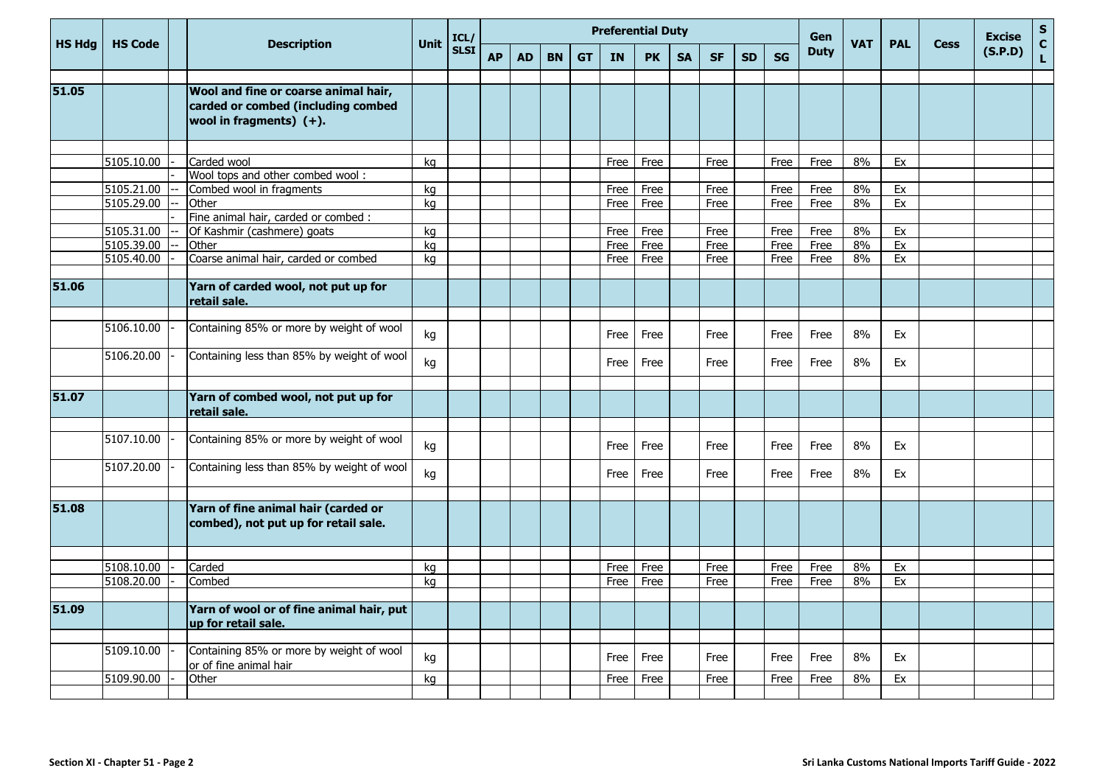|               | <b>HS Code</b> |                                                                                                          |             | ICL/        | <b>Preferential Duty</b> |           |           |           |           |              |           |           |           |              | Gen         |            |            |             | <b>Excise</b> | $\frac{{\sf s}}{{\sf c}}$ |
|---------------|----------------|----------------------------------------------------------------------------------------------------------|-------------|-------------|--------------------------|-----------|-----------|-----------|-----------|--------------|-----------|-----------|-----------|--------------|-------------|------------|------------|-------------|---------------|---------------------------|
| <b>HS Hda</b> |                | <b>Description</b>                                                                                       | <b>Unit</b> | <b>SLSI</b> | <b>AP</b>                | <b>AD</b> | <b>BN</b> | <b>GT</b> | <b>IN</b> | <b>PK</b>    | <b>SA</b> | <b>SF</b> | <b>SD</b> | <b>SG</b>    | <b>Duty</b> | <b>VAT</b> | <b>PAL</b> | <b>Cess</b> | (S.P.D)       | L.                        |
|               |                |                                                                                                          |             |             |                          |           |           |           |           |              |           |           |           |              |             |            |            |             |               |                           |
| 51.05         |                | Wool and fine or coarse animal hair,<br>carded or combed (including combed<br>wool in fragments) $(+)$ . |             |             |                          |           |           |           |           |              |           |           |           |              |             |            |            |             |               |                           |
|               |                |                                                                                                          |             |             |                          |           |           |           |           |              |           |           |           |              |             |            |            |             |               |                           |
|               | 5105.10.00     | Carded wool                                                                                              | kg          |             |                          |           |           |           | Free      | Free         |           | Free      |           | Free         | Free        | 8%         | Ex         |             |               |                           |
|               |                | Wool tops and other combed wool:                                                                         |             |             |                          |           |           |           |           |              |           |           |           |              |             |            |            |             |               |                           |
|               | 5105.21.00     | Combed wool in fragments                                                                                 | kg          |             |                          |           |           |           | Free      | Free         |           | Free      |           | Free         | Free        | 8%         | Ex         |             |               |                           |
|               | 5105.29.00     | Other                                                                                                    | kg          |             |                          |           |           |           | Free      | Free         |           | Free      |           | Free         | Free        | 8%         | Ex         |             |               |                           |
|               | 5105.31.00     | Fine animal hair, carded or combed :                                                                     |             |             |                          |           |           |           |           |              |           |           |           |              |             |            |            |             |               |                           |
|               |                | Of Kashmir (cashmere) goats                                                                              | kg          |             |                          |           |           |           | Free      | Free         |           | Free      |           | Free         | Free        | 8%         | Ex         |             |               |                           |
|               | 5105.39.00     | Other                                                                                                    | kg          |             |                          |           |           |           | Free      | Free<br>Free |           | Free      |           | Free<br>Free | Free        | 8%<br>8%   | Ex         |             |               |                           |
|               | 5105.40.00     | Coarse animal hair, carded or combed                                                                     | kg          |             |                          |           |           |           | Free      |              |           | Free      |           |              | Free        |            | Ex         |             |               |                           |
| 51.06         |                | Yarn of carded wool, not put up for<br>retail sale.                                                      |             |             |                          |           |           |           |           |              |           |           |           |              |             |            |            |             |               |                           |
|               |                |                                                                                                          |             |             |                          |           |           |           |           |              |           |           |           |              |             |            |            |             |               |                           |
|               | 5106.10.00     | Containing 85% or more by weight of wool                                                                 | kg          |             |                          |           |           |           | Free      | Free         |           | Free      |           | Free         | Free        | 8%         | Ex         |             |               |                           |
|               | 5106.20.00     | Containing less than 85% by weight of wool                                                               | kg          |             |                          |           |           |           | Free      | Free         |           | Free      |           | Free         | Free        | 8%         | Ex         |             |               |                           |
|               |                |                                                                                                          |             |             |                          |           |           |           |           |              |           |           |           |              |             |            |            |             |               |                           |
| 51.07         |                | Yarn of combed wool, not put up for<br>retail sale.                                                      |             |             |                          |           |           |           |           |              |           |           |           |              |             |            |            |             |               |                           |
|               |                |                                                                                                          |             |             |                          |           |           |           |           |              |           |           |           |              |             |            |            |             |               |                           |
|               | 5107.10.00     | Containing 85% or more by weight of wool                                                                 | kg          |             |                          |           |           |           | Free      | Free         |           | Free      |           | Free         | Free        | 8%         | Ex         |             |               |                           |
|               | 5107.20.00     | Containing less than 85% by weight of wool                                                               | kg          |             |                          |           |           |           | Free      | Free         |           | Free      |           | Free         | Free        | 8%         | Ex         |             |               |                           |
| 51.08         |                | Yarn of fine animal hair (carded or<br>combed), not put up for retail sale.                              |             |             |                          |           |           |           |           |              |           |           |           |              |             |            |            |             |               |                           |
|               | 5108.10.00     | Carded                                                                                                   | kg          |             |                          |           |           |           | Free      | Free         |           | Free      |           | Free         | Free        | 8%         | Ex         |             |               |                           |
|               | 5108.20.00     | Combed                                                                                                   | kg          |             |                          |           |           |           | Free      | Free         |           | Free      |           | Free         | Free        | 8%         | Ex         |             |               |                           |
|               |                |                                                                                                          |             |             |                          |           |           |           |           |              |           |           |           |              |             |            |            |             |               |                           |
| 51.09         |                | Yarn of wool or of fine animal hair, put<br>up for retail sale.                                          |             |             |                          |           |           |           |           |              |           |           |           |              |             |            |            |             |               |                           |
|               |                |                                                                                                          |             |             |                          |           |           |           |           |              |           |           |           |              |             |            |            |             |               |                           |
|               | 5109.10.00     | Containing 85% or more by weight of wool<br>or of fine animal hair                                       | kg          |             |                          |           |           |           | Free      | Free         |           | Free      |           | Free         | Free        | 8%         | Ex         |             |               |                           |
|               | 5109.90.00     | Other                                                                                                    | kg          |             |                          |           |           |           | Free      | Free         |           | Free      |           | Free         | Free        | 8%         | Ex         |             |               |                           |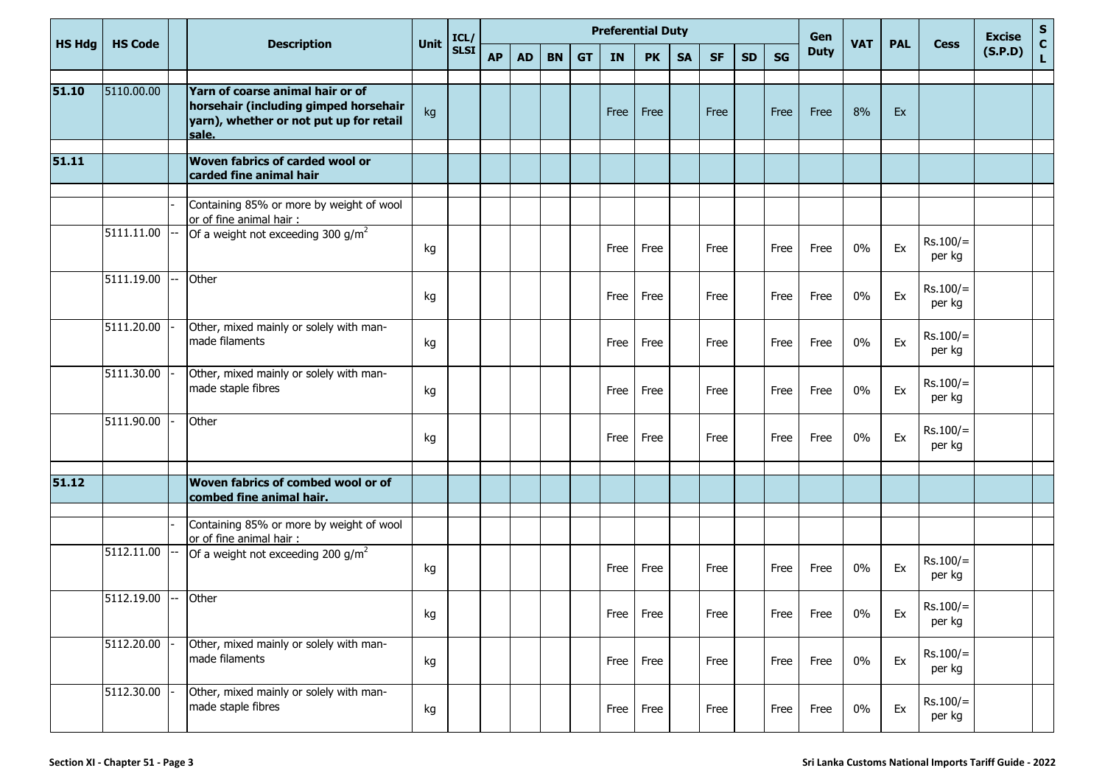|               |                |       | <b>Description</b>                                                                                                            |             | ICL/        |           |           |           |           |           | <b>Preferential Duty</b> |           |           |           |           | Gen         |            |            |                      | <b>Excise</b> | S            |
|---------------|----------------|-------|-------------------------------------------------------------------------------------------------------------------------------|-------------|-------------|-----------|-----------|-----------|-----------|-----------|--------------------------|-----------|-----------|-----------|-----------|-------------|------------|------------|----------------------|---------------|--------------|
| <b>HS Hdg</b> | <b>HS Code</b> |       |                                                                                                                               | <b>Unit</b> | <b>SLSI</b> | <b>AP</b> | <b>AD</b> | <b>BN</b> | <b>GT</b> | <b>IN</b> | <b>PK</b>                | <b>SA</b> | <b>SF</b> | <b>SD</b> | <b>SG</b> | <b>Duty</b> | <b>VAT</b> | <b>PAL</b> | <b>Cess</b>          | (S.P.D)       | $\mathbf{L}$ |
| 51.10         | 5110.00.00     |       | Yarn of coarse animal hair or of<br>horsehair (including gimped horsehair<br>yarn), whether or not put up for retail<br>sale. | kg          |             |           |           |           |           | Free      | Free                     |           | Free      |           | Free      | Free        | 8%         | Ex         |                      |               |              |
| 51.11         |                |       | Woven fabrics of carded wool or<br>carded fine animal hair                                                                    |             |             |           |           |           |           |           |                          |           |           |           |           |             |            |            |                      |               |              |
|               |                |       | Containing 85% or more by weight of wool<br>or of fine animal hair:                                                           |             |             |           |           |           |           |           |                          |           |           |           |           |             |            |            |                      |               |              |
|               | 5111.11.00     |       | Of a weight not exceeding 300 $g/m^2$                                                                                         | kg          |             |           |           |           |           | Free      | Free                     |           | Free      |           | Free      | Free        | $0\%$      | Ex         | $Rs.100/=$<br>per kg |               |              |
|               | 5111.19.00     |       | Other                                                                                                                         | kg          |             |           |           |           |           | Free      | Free                     |           | Free      |           | Free      | Free        | $0\%$      | Ex         | $Rs.100/=$<br>per kg |               |              |
|               | 5111.20.00     |       | Other, mixed mainly or solely with man-<br>made filaments                                                                     | kg          |             |           |           |           |           | Free      | Free                     |           | Free      |           | Free      | Free        | $0\%$      | Ex         | $Rs.100/=$<br>per kg |               |              |
|               | 5111.30.00     |       | Other, mixed mainly or solely with man-<br>made staple fibres                                                                 | kg          |             |           |           |           |           | Free      | Free                     |           | Free      |           | Free      | Free        | $0\%$      | Ex         | $Rs.100/=$<br>per kg |               |              |
|               | 5111.90.00     |       | Other                                                                                                                         | kg          |             |           |           |           |           | Free      | Free                     |           | Free      |           | Free      | Free        | $0\%$      | Ex         | $Rs.100/=$<br>per kg |               |              |
| 51.12         |                |       | Woven fabrics of combed wool or of<br>combed fine animal hair.                                                                |             |             |           |           |           |           |           |                          |           |           |           |           |             |            |            |                      |               |              |
|               |                |       | Containing 85% or more by weight of wool<br>or of fine animal hair :                                                          |             |             |           |           |           |           |           |                          |           |           |           |           |             |            |            |                      |               |              |
|               | 5112.11.00     |       | Of a weight not exceeding 200 g/m <sup>2</sup>                                                                                | kg          |             |           |           |           |           | Free      | Free                     |           | Free      |           | Free      | Free        | $0\%$      | Ex         | $Rs.100/=$<br>per kg |               |              |
|               | 5112.19.00     | $---$ | Other                                                                                                                         | kg          |             |           |           |           |           | Free      | Free                     |           | Free      |           | Free      | Free        | $0\%$      | Ex         | $Rs.100/=$<br>per kg |               |              |
|               | 5112.20.00     |       | Other, mixed mainly or solely with man-<br>made filaments                                                                     | kg          |             |           |           |           |           |           | Free Free                |           | Free      |           | Free      | Free        | $0\%$      | Ex         | $Rs.100/=$<br>per kg |               |              |
|               | 5112.30.00     |       | Other, mixed mainly or solely with man-<br>made staple fibres                                                                 | kg          |             |           |           |           |           |           | Free Free                |           | Free      |           | Free      | Free        | $0\%$      | Ex         | $Rs.100/=$<br>per kg |               |              |